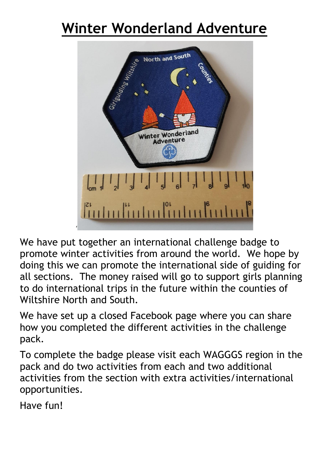# **Winter Wonderland Adventure**



We have put together an international challenge badge to promote winter activities from around the world. We hope by doing this we can promote the international side of guiding for all sections. The money raised will go to support girls planning to do international trips in the future within the counties of Wiltshire North and South.

We have set up a closed Facebook page where you can share how you completed the different activities in the challenge pack.

To complete the badge please visit each WAGGGS region in the pack and do two activities from each and two additional activities from the section with extra activities/international opportunities.

Have fun!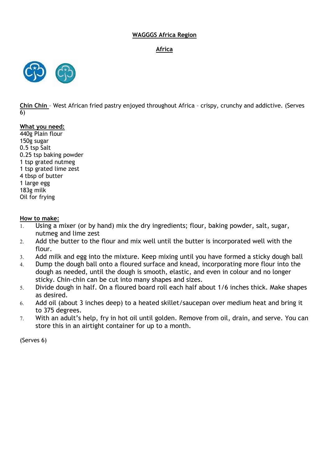## **WAGGGS Africa Region**

**Africa**



**Chin Chin** – West African fried pastry enjoyed throughout Africa – crispy, crunchy and addictive. (Serves 6)

## **What you need:**

440g Plain flour 150g sugar 0.5 tsp Salt 0.25 tsp baking powder 1 tsp grated nutmeg 1 tsp grated lime zest 4 tbsp of butter 1 large egg 183g milk Oil for frying

## **How to make:**

- Using a mixer (or by hand) mix the dry ingredients; flour, baking powder, salt, sugar, nutmeg and lime zest
- 2. Add the butter to the flour and mix well until the butter is incorporated well with the flour.
- Add milk and egg into the mixture. Keep mixing until you have formed a sticky dough ball
- Dump the dough ball onto a floured surface and knead, incorporating more flour into the dough as needed, until the dough is smooth, elastic, and even in colour and no longer sticky. Chin-chin can be cut into many shapes and sizes.
- Divide dough in half. On a floured board roll each half about 1/6 inches thick. Make shapes as desired.
- Add oil (about 3 inches deep) to a heated skillet/saucepan over medium heat and bring it to 375 degrees.
- With an adult's help, fry in hot oil until golden. Remove from oil, drain, and serve. You can store this in an airtight container for up to a month.

(Serves 6)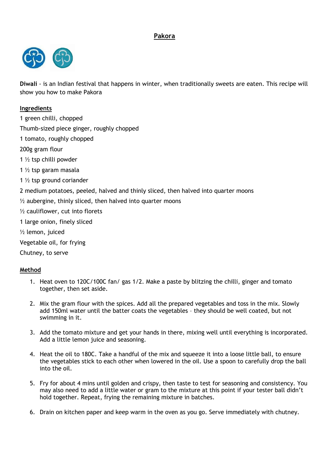# **Pakora**



**Diwali** - is an Indian festival that happens in winter, when traditionally sweets are eaten. This recipe will show you how to make Pakora

## **Ingredients**

1 green chilli, chopped

Thumb-sized piece ginger, roughly chopped

- 1 tomato, roughly chopped
- 200g gram flour
- 1 ½ tsp chilli powder
- 1 ½ tsp garam masala
- 1 ½ tsp ground coriander
- 2 medium potatoes, peeled, halved and thinly sliced, then halved into quarter moons
- $\frac{1}{2}$  aubergine, thinly sliced, then halved into quarter moons
- ½ cauliflower, cut into florets
- 1 large [onion,](https://www.bbcgoodfood.com/glossary/onion-glossary) finely sliced
- ½ lemon, juiced
- Vegetable oil, for frying
- Chutney, to serve

## **Method**

- 1. Heat oven to 120C/100C fan/ gas 1/2. Make a paste by blitzing the chilli, ginger and tomato together, then set aside.
- 2. Mix the gram flour with the spices. Add all the prepared vegetables and toss in the mix. Slowly add 150ml water until the batter coats the vegetables – they should be well coated, but not swimming in it.
- 3. Add the tomato mixture and get your hands in there, mixing well until everything is incorporated. Add a little lemon juice and seasoning.
- 4. Heat the oil to 180C. Take a handful of the mix and squeeze it into a loose little ball, to ensure the vegetables stick to each other when lowered in the oil. Use a spoon to carefully drop the ball into the oil.
- 5. Fry for about 4 mins until golden and crispy, then taste to test for seasoning and consistency. You may also need to add a little water or gram to the mixture at this point if your tester ball didn't hold together. Repeat, frying the remaining mixture in batches.
- 6. Drain on kitchen paper and keep warm in the oven as you go. Serve immediately with chutney.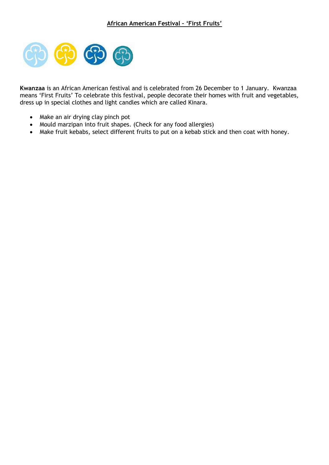

**Kwanzaa** is an African American festival and is celebrated from 26 December to 1 January. Kwanzaa means 'First Fruits' To celebrate this festival, people decorate their homes with fruit and vegetables, dress up in special clothes and light candles which are called Kinara.

- Make an air drying clay pinch pot
- Mould marzipan into fruit shapes. (Check for any food allergies)
- Make fruit kebabs, select different fruits to put on a kebab stick and then coat with honey.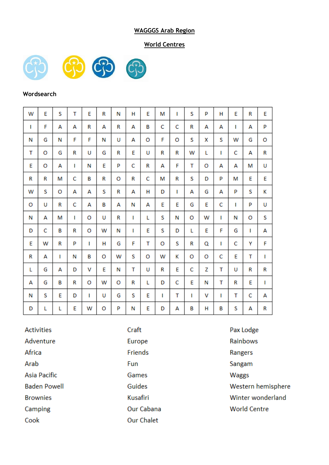## **WAGGGS Arab Region**

## **World Centres**



## **Wordsearch**

| w | E | S | T | E | R | N | н | E | М | I | S | P | H | E | R | E |
|---|---|---|---|---|---|---|---|---|---|---|---|---|---|---|---|---|
| L | F | А | А | R | А | R | А | B | C | c | R | А | А | I | А | P |
| Ν | G | Ν | F | F | Ν | U | А | O | F | o | S | x | S | w | G | o |
| T | O | G | R | U | G | R | E | U | R | R | w | L | т | C | А | R |
| E | o | А | L | N | E | P | c | R | А | F | т | O | А | А | М | U |
| R | R | M | с | B | R | 0 | R | Ċ | М | R | S | D | P | M | E | E |
| w | S | O | А | А | S | R | А | н | D | ı | А | G | А | P | S | K |
| o | U | R | c | А | в | А | Ν | А | E | E | G | E | c | ı | P | U |
| N | А | м | ı | O | U | R | Т | L | S | Ν | O | w | т | Ν | o | S |
| D | с | B | R | O | W | Ν | г | E | S | D | L | E | F | G | L | А |
| E | W | R | P | Т | н | G | F | т | o | S | R | Q | т | c | Υ | F |
| R | А | г | Ν | B | o | w | S | o | w | κ | O | O | C | E | T | ı |
| L | G | А | D | v | E | Ν | т | U | R | E | C | Z | т | U | R | R |
| А | G | B | R | o | w | o | R | L | D | c | E | Ν | т | R | E | L |
| Ν | S | E | D | т | U | G | S | E | I | T | ı | v | п | T | c | А |
| D | L | L | E | W | o | P | Ν | E | D | А | B | н | в | S | А | R |

**Activities** Adventure Africa Arab **Asia Pacific Baden Powell Brownies** Camping Cook

Craft Europe Friends Fun Games Guides **Kusafiri** Our Cabana **Our Chalet** 

Pax Lodge Rainbows Rangers Sangam Waggs Western hemisphere Winter wonderland **World Centre**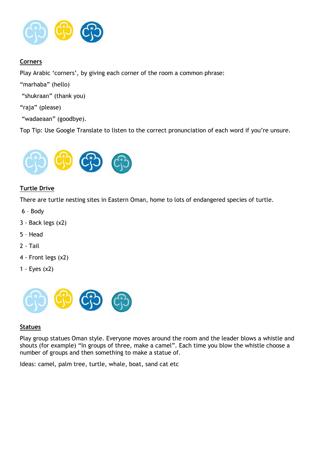

# **Corners**

Play Arabic 'corners', by giving each corner of the room a common phrase:

"marhaba" (hello)

"shukraan" (thank you)

"raja" (please)

"wadaeaan" (goodbye).

Top Tip: Use Google Translate to listen to the correct pronunciation of each word if you're unsure.



## **Turtle Drive**

There are turtle nesting sites in Eastern Oman, home to lots of endangered species of turtle.

- 6 Body
- 3 Back legs (x2)
- 5 Head
- 2 Tail
- 4 Front legs (x2)
- 1 Eyes (x2)



#### **Statues**

Play group statues Oman style. Everyone moves around the room and the leader blows a whistle and shouts (for example) "In groups of three, make a camel". Each time you blow the whistle choose a number of groups and then something to make a statue of.

Ideas: camel, palm tree, turtle, whale, boat, sand cat etc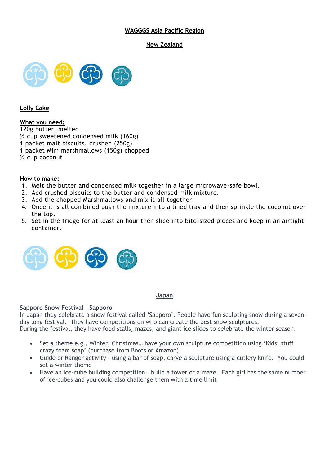## **WAGGGS Asia Pacific Region**

## **New Zealand**



## **Lolly Cake**

## **What you need:**

120g butter, melted

 $\frac{1}{2}$  cup sweetened condensed milk (160g)

1 packet malt biscuits, crushed (250g)

1 packet Mini marshmallows (150g) chopped

½ cup coconut

## **How to make:**

- 1. Melt the butter and condensed milk together in a large microwave-safe bowl.
- 2. Add crushed biscuits to the butter and condensed milk mixture.
- 3. Add the chopped Marshmallows and mix it all together.
- 4. Once it is all combined push the mixture into a lined tray and then sprinkle the coconut over the top.
- 5. Set in the fridge for at least an hour then slice into bite-sized pieces and keep in an airtight container.



## **Japan**

## **Sapporo Snow Festival – Sapporo**

In Japan they celebrate a snow festival called 'Sapporo'. People have fun sculpting snow during a sevenday long festival. They have competitions on who can create the best snow sculptures. During the festival, they have food stalls, mazes, and giant ice slides to celebrate the winter season.

- Set a theme e.g., Winter, Christmas… have your own sculpture competition using 'Kids' stuff crazy foam soap' (purchase from Boots or Amazon)
- Guide or Ranger activity using a bar of soap, carve a sculpture using a cutlery knife. You could set a winter theme
- Have an ice-cube building competition build a tower or a maze. Each girl has the same number of ice-cubes and you could also challenge them with a time limit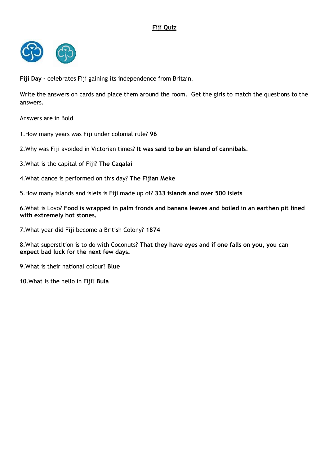# **Fiji Quiz**



**Fiji Day -** celebrates Fiji gaining its independence from Britain.

Write the answers on cards and place them around the room. Get the girls to match the questions to the answers.

Answers are in Bold

1.How many years was Fiji under colonial rule? **96**

2.Why was Fiji avoided in Victorian times? **It was said to be an island of cannibals**.

3.What is the capital of Fiji? **The Caqalai**

4.What dance is performed on this day? **The Fijian Meke**

5.How many islands and islets is Fiji made up of? **333 islands and over 500 islets**

6.What is Lovo? **Food is wrapped in palm fronds and banana leaves and boiled in an earthen pit lined with extremely hot stones.**

7.What year did Fiji become a British Colony? **1874**

8.What superstition is to do with Coconuts? **That they have eyes and if one falls on you, you can expect bad luck for the next few days.**

9.What is their national colour? **Blue**

10.What is the hello in Fiji? **Bula**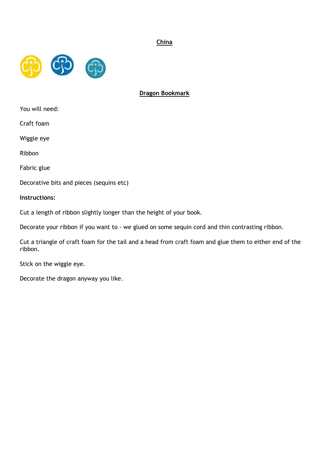## **China**



## **Dragon Bookmark**

You will need:

Craft foam

Wiggle eye

Ribbon

Fabric glue

Decorative bits and pieces (sequins etc)

**Instructions:**

Cut a length of ribbon slightly longer than the height of your book.

Decorate your ribbon if you want to - we glued on some sequin cord and thin contrasting ribbon.

Cut a triangle of craft foam for the tail and a head from craft foam and glue them to either end of the ribbon.

Stick on the wiggle eye.

Decorate the dragon anyway you like.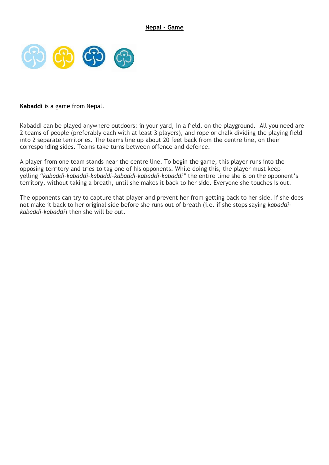

## **Kabaddi** is a game from Nepal.

Kabaddi can be played anywhere outdoors: in your yard, in a field, on the playground. All you need are 2 teams of people (preferably each with at least 3 players), and rope or chalk dividing the playing field into 2 separate territories. The teams line up about 20 feet back from the centre line, on their corresponding sides. Teams take turns between offence and defence.

A player from one team stands near the centre line. To begin the game, this player runs into the opposing territory and tries to tag one of his opponents. While doing this, the player must keep yelling *"kabaddi-kabaddi-kabaddi-kabaddi-kabaddi-kabaddi"* the entire time she is on the opponent's territory, without taking a breath, until she makes it back to her side. Everyone she touches is out.

The opponents can try to capture that player and prevent her from getting back to her side. If she does not make it back to her original side before she runs out of breath (i.e. if she stops saying *kabaddikabaddi-kabaddi*) then she will be out.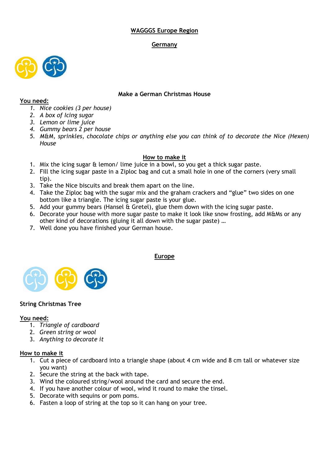## **WAGGGS Europe Region**

## **Germany**



## **Make a German Christmas House**

## **You need:**

- *1. Nice cookies (3 per house)*
- *2. A box of Icing sugar*
- *3. Lemon or lime juice*
- *4. Gummy bears 2 per house*
- *5. M&M, sprinkles, chocolate chips or anything else you can think of to decorate the Nice (Hexen) House*

## **How to make it**

- 1. Mix the icing sugar & lemon/ lime juice in a bowl, so you get a thick sugar paste.
- 2. Fill the icing sugar paste in a Ziploc bag and cut a small hole in one of the corners (very small tip).
- 3. Take the Nice biscuits and break them apart on the line.
- 4. Take the Ziploc bag with the sugar mix and the graham crackers and "glue" two sides on one bottom like a triangle. The icing sugar paste is your glue.
- 5. Add your gummy bears (Hansel & Gretel), glue them down with the icing sugar paste.
- 6. Decorate your house with more sugar paste to make it look like snow frosting, add M&Ms or any other kind of decorations (gluing it all down with the sugar paste) …
- 7. Well done you have finished your German house.



## **String Christmas Tree**

## **You need:**

- 1. *Triangle of cardboard*
- 2. *Green string or wool*
- 3. *Anything to decorate it*

## **How to make it**

- 1. Cut a piece of cardboard into a triangle shape (about 4 cm wide and 8 cm tall or whatever size you want)
- 2. Secure the string at the back with tape.
- 3. Wind the coloured string/wool around the card and secure the end.
- 4. If you have another colour of wool, wind it round to make the tinsel.
- 5. Decorate with sequins or pom poms.
- 6. Fasten a loop of string at the top so it can hang on your tree.

## **Europe**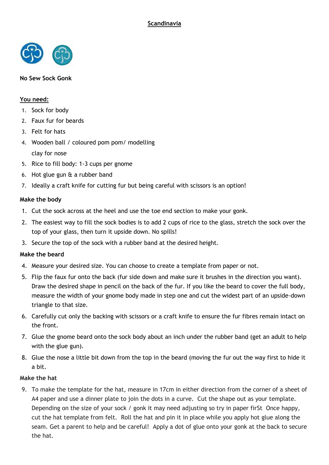

## **No Sew Sock Gonk**

## **You need:**

- 1. Sock for body
- 2. Faux fur for beards
- 3. Felt for hats
- 4. Wooden ball / coloured pom pom/ modelling clay for nose
- 5. Rice to fill body: 1-3 cups per gnome
- 6. Hot glue gun & a rubber band
- 7. Ideally a craft knife for cutting fur but being careful with scissors is an option!

## **Make the body**

- 1. Cut the sock across at the heel and use the toe end section to make your gonk.
- 2. The easiest way to fill the sock bodies is to add 2 cups of rice to the glass, stretch the sock over the top of your glass, then turn it upside down. No spills!
- 3. Secure the top of the sock with a rubber band at the desired height.

## **Make the beard**

- 4. Measure your desired size. You can choose to create a template from paper or not.
- 5. Flip the faux fur onto the back (fur side down and make sure it brushes in the direction you want). Draw the desired shape in pencil on the back of the fur. If you like the beard to cover the full body, measure the width of your gnome body made in step one and cut the widest part of an upside-down triangle to that size.
- 6. Carefully cut only the backing with scissors or a craft knife to ensure the fur fibres remain intact on the front.
- 7. Glue the gnome beard onto the sock body about an inch under the rubber band (get an adult to help with the glue gun).
- 8. Glue the nose a little bit down from the top in the beard (moving the fur out the way first to hide it a bit.

## **Make the hat**

9. To make the template for the hat, measure in 17cm in either direction from the corner of a sheet of A4 paper and use a dinner plate to join the dots in a curve. Cut the shape out as your template. Depending on the size of your sock / gonk it may need adjusting so try in paper firSt Once happy, cut the hat template from felt. Roll the hat and pin it in place while you apply hot glue along the seam. Get a parent to help and be careful! Apply a dot of glue onto your gonk at the back to secure the hat.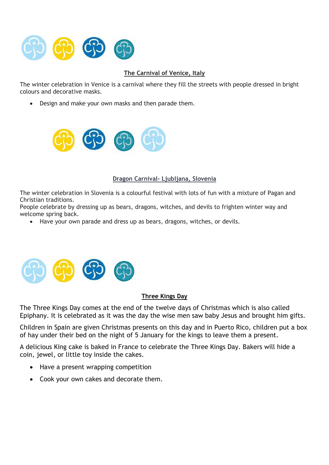

# **The Carnival of Venice, Italy**

The winter celebration in Venice is a carnival where they fill the streets with people dressed in bright colours and decorative masks.

• Design and make your own masks and then parade them.



## **Dragon Carnival- Ljubljana, Slovenia**

The winter celebration in Slovenia is a colourful festival with lots of fun with a mixture of Pagan and Christian traditions.

People celebrate by dressing up as bears, dragons, witches, and devils to frighten winter way and welcome spring back.

• Have your own parade and dress up as bears, dragons, witches, or devils.



## **Three Kings Day**

The Three Kings Day comes at the end of the twelve days of Christmas which is also called Epiphany. It is celebrated as it was the day the wise men saw baby Jesus and brought him gifts.

Children in Spain are given Christmas presents on this day and in Puerto Rico, children put a box of hay under their bed on the night of 5 January for the kings to leave them a present.

A delicious King cake is baked in France to celebrate the Three Kings Day. Bakers will hide a coin, jewel, or little toy inside the cakes.

- Have a present wrapping competition
- Cook your own cakes and decorate them.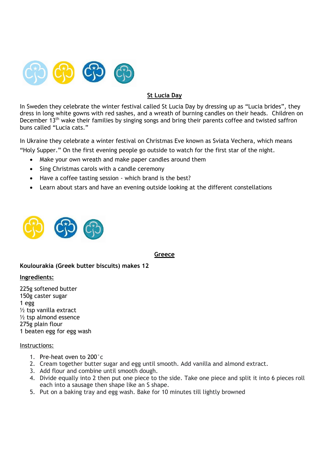

# **St Lucia Day**

In Sweden they celebrate the winter festival called St Lucia Day by dressing up as "Lucia brides", they dress in long white gowns with red sashes, and a wreath of burning candles on their heads. Children on December 13<sup>th</sup> wake their families by singing songs and bring their parents coffee and twisted saffron buns called "Lucia cats."

In Ukraine they celebrate a winter festival on Christmas Eve known as Sviata Vechera, which means "Holy Supper." On the first evening people go outside to watch for the first star of the night.

- Make your own wreath and make paper candles around them
- Sing Christmas carols with a candle ceremony
- Have a coffee tasting session which brand is the best?
- Learn about stars and have an evening outside looking at the different constellations



## **Greece**

**Koulourakia (Greek butter biscuits) makes 12**

## **Ingredients:**

225g softened butter 150g caster sugar 1 egg ½ tsp vanilla extract ½ tsp almond essence 275g plain flour 1 beaten egg for egg wash

## Instructions:

- 1. Pre-heat oven to 200°c
- 2. Cream together butter sugar and egg until smooth. Add vanilla and almond extract.
- 3. Add flour and combine until smooth dough.
- 4. Divide equally into 2 then put one piece to the side. Take one piece and split it into 6 pieces roll each into a sausage then shape like an S shape.
- 5. Put on a baking tray and egg wash. Bake for 10 minutes till lightly browned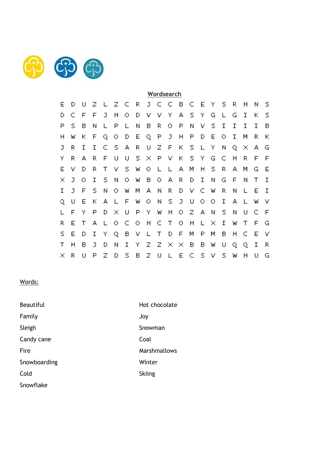

|   |   |   |   |   |   |   |   |   |   | Wordsearch |   |   |   |   |   |   |   |    |   |
|---|---|---|---|---|---|---|---|---|---|------------|---|---|---|---|---|---|---|----|---|
| E | D | П | z |   | z | C | R | J | C | C          | в | c | Ε | Υ | s | R | н | Ν  | s |
| D | c | F | F | J | Η | o | D | v | ν | Υ          | А | s | Υ | G | L | G | I | к  | s |
| Ρ | s | в | Ν |   | Ρ |   | Ν | в | R | O          | Ρ | Ν | ν | s | I | I | I | Ι  | в |
| Н | w | к | F | Q | о | D | E | Q | Ρ | J          | Η | Ρ | D | E | о | I | м | R  | к |
| J | R | I | I | C | s | А | R | U | z | F          | К | s |   | Υ | Ν | Q | × | А  | G |
| Υ | R | А | R | F | U | U | s | × | Ρ | ν          | к | s | Υ | G | C | н | R | F  | F |
| Е | ν | D | R | Т | v | s | W | o | L | L          | А | М | Η | s | R | А | М | G  | Е |
| × | J | O | Ι | s | Ν | o | W | в | O | А          | R | D | I | Ν | G | F | Ν | Т  | I |
| Ι | J | F | s | Ν | O | w | М | А | Ν | R          | D | ν | C | W | R | Ν |   | Е  | Ι |
| Q | U | E | К | А | L | F | W | O | Ν | s          | J | U | O | O | I | А |   | W  | ν |
| L | F | Υ | P | D | × | υ | P | Υ | W | Н          | O | z | А | Ν | s | Ν | U | С  | F |
| R | E | т | А |   | O | C | O | Η | c | т          | O | н | L | × | I | W | т | F  | G |
| s | E | D | I | Υ | Q | в | ν |   | т | D          | F | м | Р | м | в | Н | C | Е  | ν |
| Т | н | в | J | D | Ν | I | Υ | z | z | ×          | × | в | в | W | U | Q | Q | I  | R |
| × | R | U | P | z | D | s | в | Z | U |            | Ε | С | s | ν | s | W | Н | LI | G |

# Words:

| <b>Beautiful</b> | Hot chocolate       |
|------------------|---------------------|
| Family           | Joy                 |
| Sleigh           | Snowman             |
| Candy cane       | Coal                |
| Fire             | <b>Marshmallows</b> |
| Snowboarding     | Winter              |
| Cold             | <b>Skiing</b>       |
| Snowflake        |                     |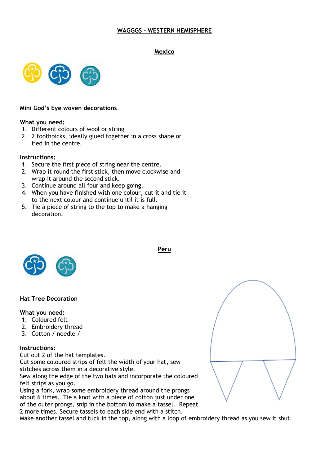## **WAGGGS – WESTERN HEMISPHERE**

#### **Mexico**



#### **Mini God's Eye woven decorations**

#### **What you need:**

- 1. Different colours of wool or string
- 2. 2 toothpicks, ideally glued together in a cross shape or tied in the centre.

#### **Instructions:**

- 1. Secure the first piece of string near the centre.
- 2. Wrap it round the first stick, then move clockwise and wrap it around the second stick.
- 3. Continue around all four and keep going.
- 4. When you have finished with one colour, cut it and tie it to the next colour and continue until it is full.
- 5. Tie a piece of string to the top to make a hanging decoration.



## **Hat Tree Decoration**

## **What you need:**

- 1. Coloured felt
- 2. Embroidery thread
- 3. Cotton / needle /

## **Instructions:**

Cut out 2 of the hat templates.

Cut some coloured strips of felt the width of your hat, sew stitches across them in a decorative style.

Sew along the edge of the two hats and incorporate the coloured felt strips as you go.

Using a fork, wrap some embroidery thread around the prongs about 6 times. Tie a knot with a piece of cotton just under one of the outer prongs, snip in the bottom to make a tassel. Repeat 2 more times. Secure tassels to each side end with a stitch.

Make another tassel and tuck in the top, along with a loop of embroidery thread as you sew it shut.



**Peru**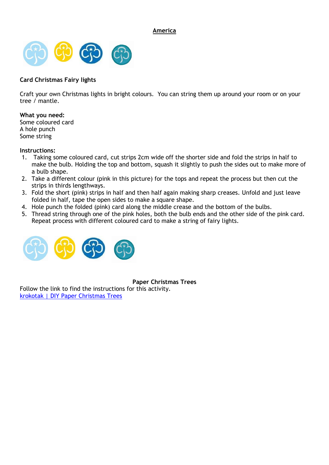**America**



## **Card Christmas Fairy lights**

Craft your own Christmas lights in bright colours. You can string them up around your room or on your tree / mantle.

## **What you need:**

Some coloured card A hole punch Some string

## **Instructions:**

- 1. Taking some coloured card, cut strips 2cm wide off the shorter side and fold the strips in half to make the bulb. Holding the top and bottom, squash it slightly to push the sides out to make more of a bulb shape.
- 2. Take a different colour (pink in this picture) for the tops and repeat the process but then cut the strips in thirds lengthways.
- 3. Fold the short (pink) strips in half and then half again making sharp creases. Unfold and just leave folded in half, tape the open sides to make a square shape.
- 4. Hole punch the folded (pink) card along the middle crease and the bottom of the bulbs.
- 5. Thread string through one of the pink holes, both the bulb ends and the other side of the pink card. Repeat process with different coloured card to make a string of fairy lights.



**Paper Christmas Trees**

Follow the link to find the instructions for this activity. [krokotak | DIY Paper Christmas Trees](http://krokotak.com/2016/11/diy-paper-christmas-trees/)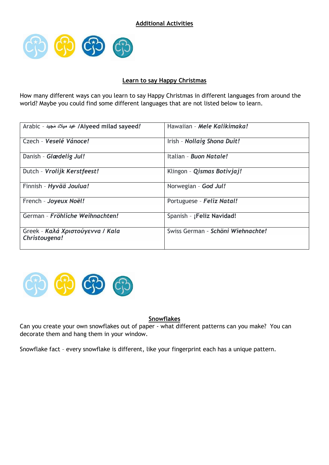

## **Learn to say Happy Christmas**

How many different ways can you learn to say Happy Christmas in different languages from around the world? Maybe you could find some different languages that are not listed below to learn.

| Arabic - عيد ميلاد مَجيد /Aiyeed milad sayeed!    | Hawaiian - Mele Kalikimaka!       |
|---------------------------------------------------|-----------------------------------|
| Czech - Veselé Vánoce!                            | Irish - Nollaig Shona Duit!       |
| Danish - Glædelig Jul!                            | Italian - Buon Natale!            |
| Dutch - Vrolijk Kerstfeest!                       | Klingon - Qismas Botivjaj!        |
| Finnish - Hyvää Joulua!                           | Norwegian - God Jul!              |
| French - Joyeux Noël!                             | Portuguese - Feliz Natal!         |
| German - Fröhliche Weihnachten!                   | Spanish - ¡Feliz Navidad!         |
| Greek - Καλά Χριστούγεννα / Kala<br>Christougena! | Swiss German - Schöni Wiehnachte! |



## **Snowflakes**

Can you create your own snowflakes out of paper - what different patterns can you make? You can decorate them and hang them in your window.

Snowflake fact – every snowflake is different, like your fingerprint each has a unique pattern.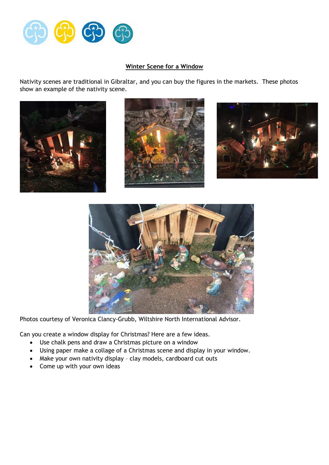

## **Winter Scene for a Window**

Nativity scenes are traditional in Gibraltar, and you can buy the figures in the markets. These photos show an example of the nativity scene.









Photos courtesy of Veronica Clancy-Grubb, Wiltshire North International Advisor.

Can you create a window display for Christmas? Here are a few ideas.

- Use chalk pens and draw a Christmas picture on a window
- Using paper make a collage of a Christmas scene and display in your window.
- Make your own nativity display clay models, cardboard cut outs
- Come up with your own ideas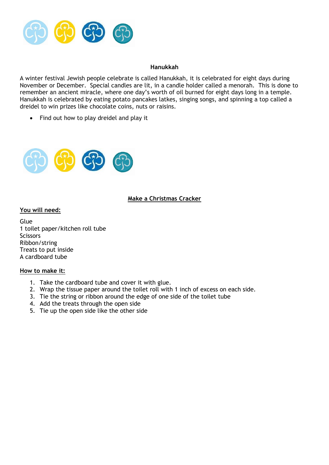

#### **Hanukkah**

A winter festival Jewish people celebrate is called Hanukkah, it is celebrated for eight days during November or December. Special candles are lit, in a candle holder called a menorah. This is done to remember an ancient miracle, where one day's worth of oil burned for eight days long in a temple. Hanukkah is celebrated by eating potato pancakes latkes, singing songs, and spinning a top called a dreidel to win prizes like chocolate coins, nuts or raisins.

• Find out how to play dreidel and play it



## **Make a Christmas Cracker**

## **You will need:**

Glue 1 toilet paper/kitchen roll tube **Scissors** Ribbon/string Treats to put inside A cardboard tube

#### **How to make it:**

- 1. Take the cardboard tube and cover it with glue.
- 2. Wrap the tissue paper around the toilet roll with 1 inch of excess on each side.
- 3. Tie the string or ribbon around the edge of one side of the toilet tube
- 4. Add the treats through the open side
- 5. Tie up the open side like the other side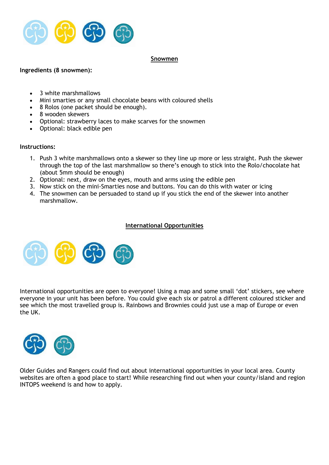

#### **Snowmen**

## **Ingredients (8 snowmen):**

- 3 white marshmallows
- Mini smarties or any small chocolate beans with coloured shells
- 8 Rolos (one packet should be enough).
- 8 wooden skewers
- Optional: strawberry laces to make scarves for the snowmen
- Optional: black edible pen

## **Instructions:**

- 1. Push 3 white marshmallows onto a skewer so they line up more or less straight. Push the skewer through the top of the last marshmallow so there's enough to stick into the Rolo/chocolate hat (about 5mm should be enough)
- 2. Optional: next, draw on the eyes, mouth and arms using the edible pen
- 3. Now stick on the mini-Smarties nose and buttons. You can do this with water or icing
- 4. The snowmen can be persuaded to stand up if you stick the end of the skewer into another marshmallow.

## **International Opportunities**



International opportunities are open to everyone! Using a map and some small 'dot' stickers, see where everyone in your unit has been before. You could give each six or patrol a different coloured sticker and see which the most travelled group is. Rainbows and Brownies could just use a map of Europe or even the UK.



Older Guides and Rangers could find out about international opportunities in your local area. County websites are often a good place to start! While researching find out when your county/island and region INTOPS weekend is and how to apply.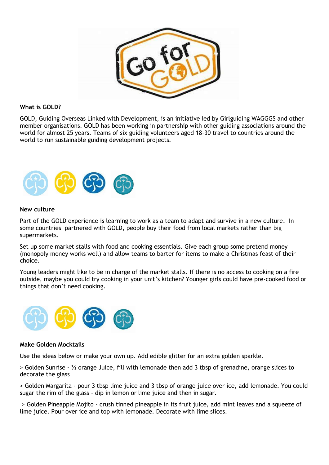

## **What is GOLD?**

GOLD, Guiding Overseas Linked with Development, is an initiative led by Girlguiding WAGGGS and other member organisations. GOLD has been working in partnership with other guiding associations around the world for almost 25 years. Teams of six guiding volunteers aged 18-30 travel to countries around the world to run sustainable guiding development projects.



#### **New culture**

Part of the GOLD experience is learning to work as a team to adapt and survive in a new culture. In some countries partnered with GOLD, people buy their food from local markets rather than big supermarkets.

Set up some market stalls with food and cooking essentials. Give each group some pretend money (monopoly money works well) and allow teams to barter for items to make a Christmas feast of their choice.

Young leaders might like to be in charge of the market stalls. If there is no access to cooking on a fire outside, maybe you could try cooking in your unit's kitchen? Younger girls could have pre-cooked food or things that don't need cooking.



#### **Make Golden Mocktails**

Use the ideas below or make your own up. Add edible glitter for an extra golden sparkle.

> Golden Sunrise - ⅓ orange Juice, fill with lemonade then add 3 tbsp of grenadine, orange slices to decorate the glass

> Golden Margarita - pour 3 tbsp lime juice and 3 tbsp of orange juice over ice, add lemonade. You could sugar the rim of the glass - dip in lemon or lime juice and then in sugar.

> Golden Pineapple Mojito - crush tinned pineapple in its fruit juice, add mint leaves and a squeeze of lime juice. Pour over ice and top with lemonade. Decorate with lime slices.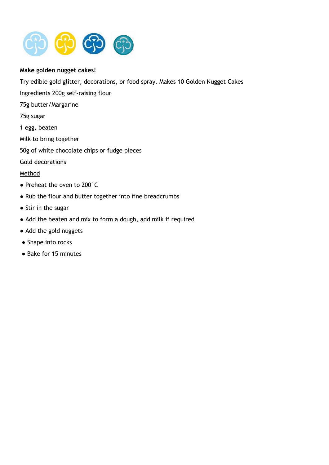

## **Make golden nugget cakes!**

Try edible gold glitter, decorations, or food spray. Makes 10 Golden Nugget Cakes

- Ingredients 200g self-raising flour
- 75g butter/Margarine
- 75g sugar
- 1 egg, beaten
- Milk to bring together
- 50g of white chocolate chips or fudge pieces
- Gold decorations

## Method

- Preheat the oven to 200˚C
- Rub the flour and butter together into fine breadcrumbs
- Stir in the sugar
- Add the beaten and mix to form a dough, add milk if required
- Add the gold nuggets
- Shape into rocks
- Bake for 15 minutes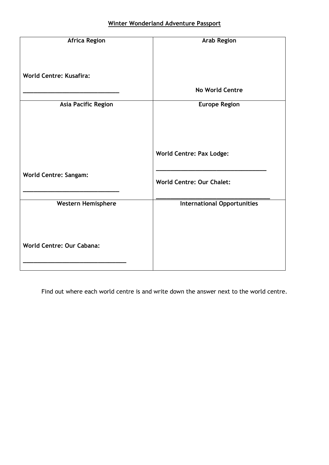| <b>Africa Region</b>           | <b>Arab Region</b>                 |
|--------------------------------|------------------------------------|
|                                |                                    |
| <b>World Centre: Kusafira:</b> |                                    |
|                                | <b>No World Centre</b>             |
| <b>Asia Pacific Region</b>     | <b>Europe Region</b>               |
|                                |                                    |
|                                |                                    |
|                                | <b>World Centre: Pax Lodge:</b>    |
| <b>World Centre: Sangam:</b>   |                                    |
|                                | <b>World Centre: Our Chalet:</b>   |
|                                |                                    |
| <b>Western Hemisphere</b>      | <b>International Opportunities</b> |
|                                |                                    |
|                                |                                    |
| World Centre: Our Cabana:      |                                    |
|                                |                                    |

Find out where each world centre is and write down the answer next to the world centre.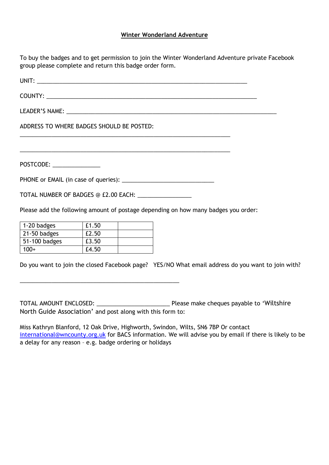## **Winter Wonderland Adventure**

To buy the badges and to get permission to join the Winter Wonderland Adventure private Facebook group please complete and return this badge order form.

UNIT: COUNTY: \_\_\_\_\_\_\_\_\_\_\_\_\_\_\_\_\_\_\_\_\_\_\_\_\_\_\_\_\_\_\_\_\_\_\_\_\_\_\_\_\_\_\_\_\_\_\_\_\_\_\_\_\_\_\_\_\_\_\_\_\_\_\_\_\_\_ LEADER'S NAME: \_\_\_\_\_\_\_\_\_\_\_\_\_\_\_\_\_\_\_\_\_\_\_\_\_\_\_\_\_\_\_\_\_\_\_\_\_\_\_\_\_\_\_\_\_\_\_\_\_\_\_\_\_\_\_\_\_\_\_\_\_\_\_\_\_\_ ADDRESS TO WHERE BADGES SHOULD BE POSTED: \_\_\_\_\_\_\_\_\_\_\_\_\_\_\_\_\_\_\_\_\_\_\_\_\_\_\_\_\_\_\_\_\_\_\_\_\_\_\_\_\_\_\_\_\_\_\_\_\_\_\_\_\_\_\_\_\_\_\_\_\_\_\_\_\_\_ \_\_\_\_\_\_\_\_\_\_\_\_\_\_\_\_\_\_\_\_\_\_\_\_\_\_\_\_\_\_\_\_\_\_\_\_\_\_\_\_\_\_\_\_\_\_\_\_\_\_\_\_\_\_\_\_\_\_\_\_\_\_\_\_\_\_ POSTCODE: \_\_\_\_\_\_\_\_\_\_\_\_\_\_\_ PHONE or EMAIL (in case of queries): \_\_\_\_\_\_\_\_\_\_\_\_\_\_\_\_\_\_\_\_\_\_\_\_\_\_\_\_\_ TOTAL NUMBER OF BADGES @ £2.00 EACH: \_\_\_\_\_\_\_\_\_\_\_\_\_\_\_\_\_ Please add the following amount of postage depending on how many badges you order:

| 1-20 badges   | £1.50 |  |
|---------------|-------|--|
| 21-50 badges  | £2.50 |  |
| 51-100 badges | £3.50 |  |
| $100+$        | £4.50 |  |

\_\_\_\_\_\_\_\_\_\_\_\_\_\_\_\_\_\_\_\_\_\_\_\_\_\_\_\_\_\_\_\_\_\_\_\_\_\_\_\_\_\_\_\_\_\_\_\_\_\_

Do you want to join the closed Facebook page? YES/NO What email address do you want to join with?

TOTAL AMOUNT ENCLOSED: \_\_\_\_\_\_\_\_\_\_\_\_\_\_\_\_\_\_\_\_\_\_\_ Please make cheques payable to 'Wiltshire North Guide Association' and post along with this form to:

Miss Kathryn Blanford, 12 Oak Drive, Highworth, Swindon, Wilts, SN6 7BP Or contact [international@wncounty.org.uk](mailto:international@wncounty.org.uk) for BACS information. We will advise you by email if there is likely to be a delay for any reason – e.g. badge ordering or holidays